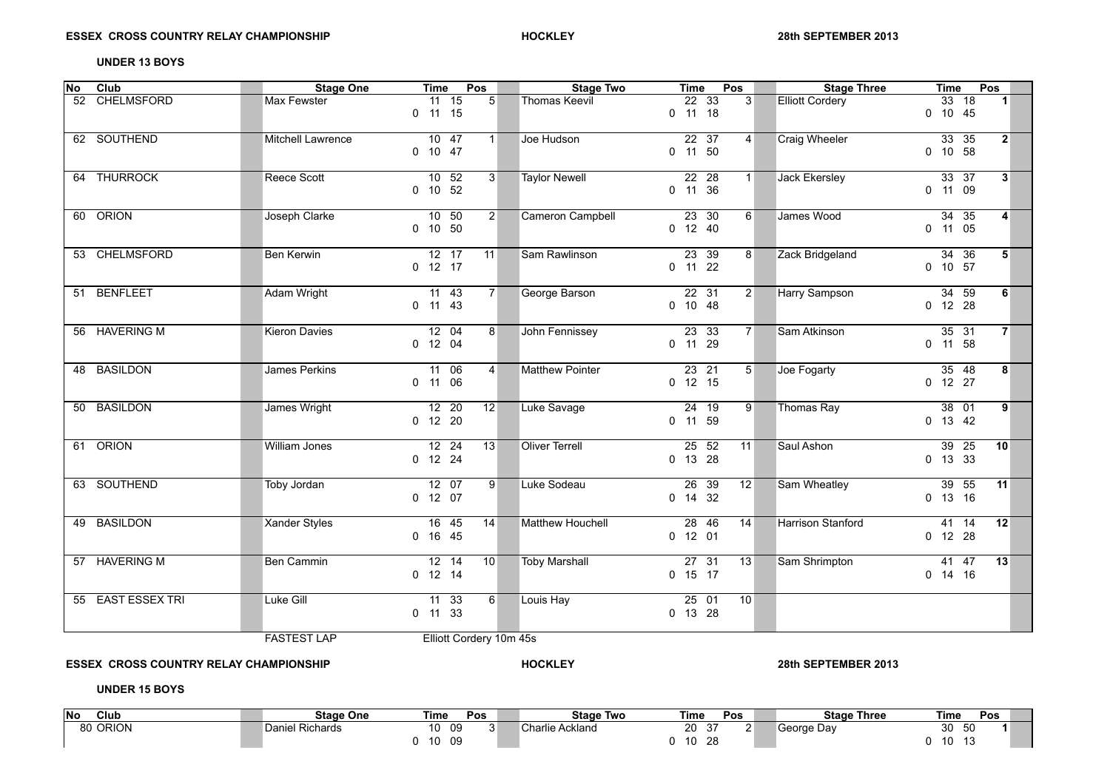## **UNDER 13 BOYS**

| <b>No</b> | Club              | <b>Stage One</b>     | Pos<br>Time                                                     | <b>Stage Two</b>      | Pos<br>Time                                      | <b>Stage Three</b>     | Time<br>Pos                                               |
|-----------|-------------------|----------------------|-----------------------------------------------------------------|-----------------------|--------------------------------------------------|------------------------|-----------------------------------------------------------|
|           | 52 CHELMSFORD     | Max Fewster          | $11$ 15<br>5 <sup>5</sup><br>$0$ 11 15                          | <b>Thomas Keevil</b>  | $22\overline{33}$<br>$\overline{3}$<br>$0$ 11 18 | <b>Elliott Cordery</b> | $\overline{33}$ $\overline{18}$<br>$\vert$ 1<br>$0$ 10 45 |
|           | 62 SOUTHEND       | Mitchell Lawrence    | $10 \quad 47$<br>1 <sup>1</sup><br>$0$ 10 47                    | Joe Hudson            | $22 \quad 37$<br>$\overline{4}$<br>$0$ 11 50     | Craig Wheeler          | 33 35<br>2 <sup>1</sup><br>$0$ 10 58                      |
|           | 64 THURROCK       | Reece Scott          | $10$ 52<br>3 <sup>1</sup><br>$0$ 10 52                          | <b>Taylor Newell</b>  | $22$ 28<br>$1 \square$<br>$0$ 11 36              | Jack Ekersley          | $33 \quad 37$<br>3 <sup>1</sup><br>0 11 09                |
|           | 60 ORION          | Joseph Clarke        | 10 <sub>50</sub><br>$\overline{2}$<br>$0$ 10 50                 | Cameron Campbell      | $23$ 30<br>6 <sup>1</sup><br>$0$ 12 40           | James Wood             | $34$ 35<br>4<br>$0$ 11 05                                 |
|           | 53 CHELMSFORD     | Ben Kerwin           | 12 17<br>11<br>$0$ 12 17                                        | Sam Rawlinson         | 23 39<br>8 <sup>1</sup><br>$0$ 11 22             | Zack Bridgeland        | 34 36<br>5 <sup>1</sup><br>$0$ 10 57                      |
|           | 51 BENFLEET       | Adam Wright          | 11 43<br>7 <sup>1</sup><br>$0$ 11 43                            | George Barson         | $22$ 31<br>$2^{\mid}$<br>$0$ 10 48               | Harry Sampson          | $\overline{34}$ 59<br>6<br>$0$ 12 28                      |
|           | 56 HAVERING M     | <b>Kieron Davies</b> | $\overline{12}$ 04<br>8 <sup>1</sup><br>$0$ 12 04               | John Fennissey        | $23 \t33$<br>$7^{\circ}$<br>0 11 29              | Sam Atkinson           | 35 31<br>7 <sup>1</sup><br>$0$ 11 58                      |
|           | 48 BASILDON       | James Perkins        | 11 06<br>$\overline{4}$<br>$0$ 11 06                            | Matthew Pointer       | $23$ 21<br>5 <sup>1</sup><br>$0$ 12 15           | Joe Fogarty            | $\overline{35}$ 48<br>8<br>$0$ 12 27                      |
|           | 50 BASILDON       | James Wright         | $\overline{12}$ 20<br>12<br>$0$ 12 20                           | Luke Savage           | $24$ 19<br>9 <sup>°</sup><br>0 11 59             | Thomas Ray             | $38$ 01<br> 9 <br>0 13 42                                 |
|           | 61 ORION          | William Jones        | $12 \quad 24$<br>13<br>$0$ 12 24                                | <b>Oliver Terrell</b> | $\overline{25}$ 52<br>11<br>0 13 28              | Saul Ashon             | $\overline{39}$ 25<br>10 <sup>1</sup><br>$0$ 13 33        |
|           | 63 SOUTHEND       | Toby Jordan          | $12$ 07<br>-9<br>$0$ 12 07                                      | Luke Sodeau           | $\overline{26}$ 39<br>12<br>$0$ 14 32            | Sam Wheatley           | $\overline{39}$ 55<br>11<br>$0$ 13 16                     |
|           | 49 BASILDON       | <b>Xander Styles</b> | 16 45<br>14<br>$0$ 16 45                                        | Matthew Houchell      | 28, 46<br>14<br>$0$ 12 01                        | Harrison Stanford      | 41 14<br>12<br>$0$ 12 28                                  |
|           | 57 HAVERING M     | Ben Cammin           | $\overline{12}$ $\overline{14}$<br>10 <sup>1</sup><br>$0$ 12 14 | <b>Toby Marshall</b>  | 2731<br>13<br>$0$ 15 17                          | Sam Shrimpton          | 41 47<br>13<br>$0$ 14 16                                  |
|           | 55 EAST ESSEX TRI | Luke Gill            | $11 \t33$<br>$6 \mid$<br>$0$ 11 33                              | Louis Hay             | $25$ 01<br>10<br>0 13 28                         |                        |                                                           |
|           |                   | <b>FASTEST LAP</b>   | Elliott Cordery 10m 45s                                         |                       |                                                  |                        |                                                           |

**ESSEX CROSS COUNTRY RELAY CHAMPIONSHIP HOCKLEY 28th SEPTEMBER 2013**

**UNDER 15 BOYS**

| <b>No</b><br>Club | <b>Stage One</b>                           | Time | Pos |     | Stage<br>Two       | Time              | Pos | <b>Stage Three</b> | Time                                 | Pos |
|-------------------|--------------------------------------------|------|-----|-----|--------------------|-------------------|-----|--------------------|--------------------------------------|-----|
| <b>ORION</b>      | $\sim$ $\sim$ $\sim$<br>Daniel<br>Richards | 10   | 09  | . . | Charlie<br>Ackland | 20<br>$\sim$<br>ິ |     | . George Dav       | 30<br>50                             |     |
|                   |                                            | 10   | 09  |     |                    | 28<br>10          |     |                    | 10<br>$\overline{\phantom{a}}$<br>ιv |     |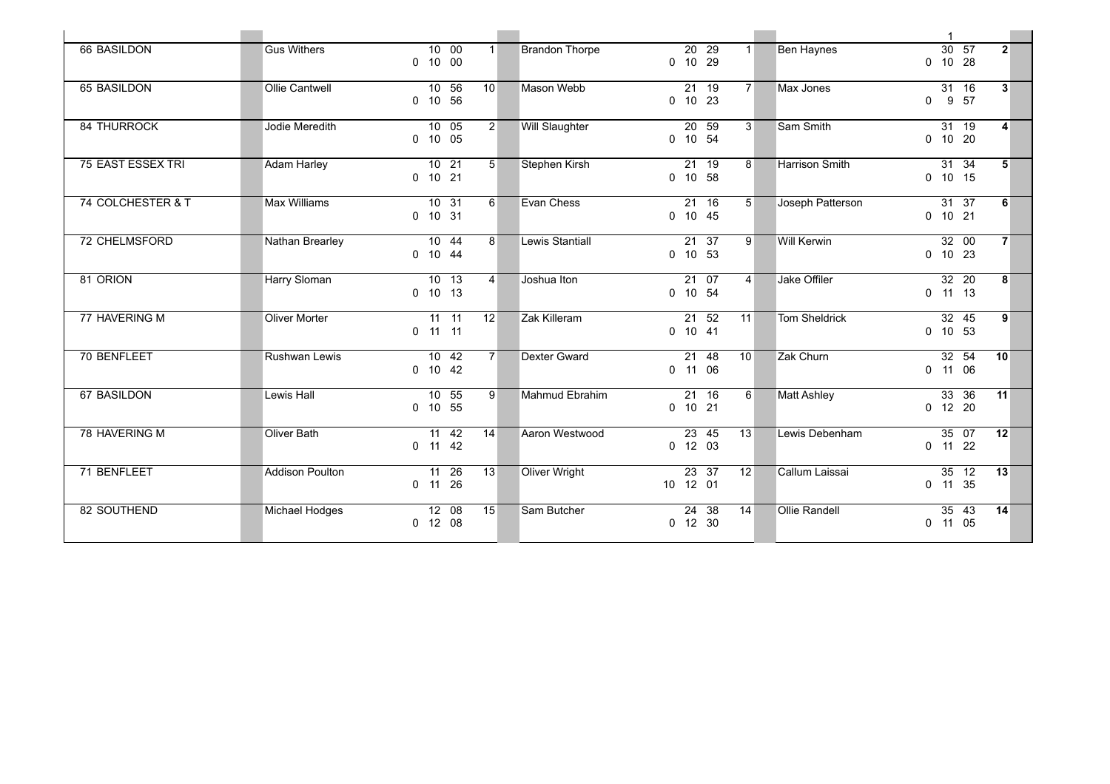| <b>66 BASILDON</b>       | <b>Gus Withers</b>     | 10 00<br>$0$ 10 00              | 1 <sup>1</sup>  | <b>Brandon Thorpe</b> |          | $20$ 29<br>$0$ 10 29    | $1 \square$     | <b>Ben Haynes</b>  | $30 \t 57$<br>$0$ 10 28       | 2 <sup>1</sup> |
|--------------------------|------------------------|---------------------------------|-----------------|-----------------------|----------|-------------------------|-----------------|--------------------|-------------------------------|----------------|
| 65 BASILDON              | Ollie Cantwell         | 10, 56<br>0 10 56               | 10 <sup>1</sup> | Mason Webb            |          | 21 19<br>$0$ 10 23      | $7^{\circ}$     | Max Jones          | 31 16<br>$0$ $9$ $57$         | 3 <sup>1</sup> |
| <b>84 THURROCK</b>       | Jodie Meredith         | $10$ 05<br>$0$ 10 05            | 2 <sup>1</sup>  | Will Slaughter        |          | 20 59<br>$0$ 10 54      | 3 <sup>1</sup>  | Sam Smith          | 31 19<br>$0$ 10 20            | $\vert$ 4      |
| <b>75 EAST ESSEX TRI</b> | <b>Adam Harley</b>     | $10$ 21<br>$0$ 10 21            | 5 <sup>1</sup>  | Stephen Kirsh         |          | $21$ 19<br>$0$ 10 58    | 8 <sup>1</sup>  | Harrison Smith     | $31 \quad 34$<br>$0$ 10 15    | 5              |
| 74 COLCHESTER & T        | Max Williams           | 10 31<br>$0$ 10 31              | 6 <sup>1</sup>  | Evan Chess            |          | $21$ 16<br>$0$ 10 45    | 5 <sup>1</sup>  | Joseph Patterson   | 31 37<br>$0$ 10 21            | 6              |
| 72 CHELMSFORD            | Nathan Brearley        | $\overline{10}$ 44<br>$0$ 10 44 | 8 <sup>1</sup>  | Lewis Stantiall       |          | 21 37<br>$0$ 10 53      | 9 <sup>1</sup>  | <b>Will Kerwin</b> | 32 00<br>$0$ 10 23            | 7 <sup>1</sup> |
| 81 ORION                 | Harry Sloman           | 10 13<br>$0$ 10 13              | $\vert$         | Joshua Iton           |          | 21 07<br>$0$ 10 54      | $\overline{4}$  | Jake Offiler       | 32 20<br>$0$ 11 13            | 8 <sup>1</sup> |
| 77 HAVERING M            | Oliver Morter          | $11 - 11$<br>$0$ 11 11          | 12 <sup>1</sup> | Zak Killeram          |          | $21 \t 52$<br>$0$ 10 41 | 11              | Tom Sheldrick      | $\overline{32}$ 45<br>0 10 53 | 9              |
| 70 BENFLEET              | Rushwan Lewis          | 10 42<br>$0$ 10 42              | 7 <sup>1</sup>  | Dexter Gward          |          | 21 48<br>$0$ 11 06      | 10 <sup>1</sup> | Zak Churn          | 32 54<br>$0$ 11 06            | 10             |
| <b>67 BASILDON</b>       | Lewis Hall             | $10$ 55<br>$0$ 10 55            | 9 <sup>1</sup>  | Mahmud Ebrahim        |          | $21$ 16<br>$0$ 10 21    | $6 \mid$        | <b>Matt Ashley</b> | 33 36<br>$0$ 12 20            | 11             |
| 78 HAVERING M            | Oliver Bath            | 11 42<br>$0$ 11 42              | 14              | Aaron Westwood        |          | 23 45<br>$0$ 12 03      | 13              | Lewis Debenham     | 35 07<br>$0$ 11 22            | 12             |
| 71 BENFLEET              | <b>Addison Poulton</b> | 11 26<br>$0$ 11 26              | 13              | Oliver Wright         | 10 12 01 | 23 37                   | 12              | Callum Laissai     | 35 12<br>$0$ 11 35            | 13             |
| 82 SOUTHEND              | Michael Hodges         | 12 08<br>$0$ 12 08              | 15              | Sam Butcher           |          | 24 38<br>$0$ 12 30      | 14              | Ollie Randell      | 35 43<br>$0$ 11 05            | 14             |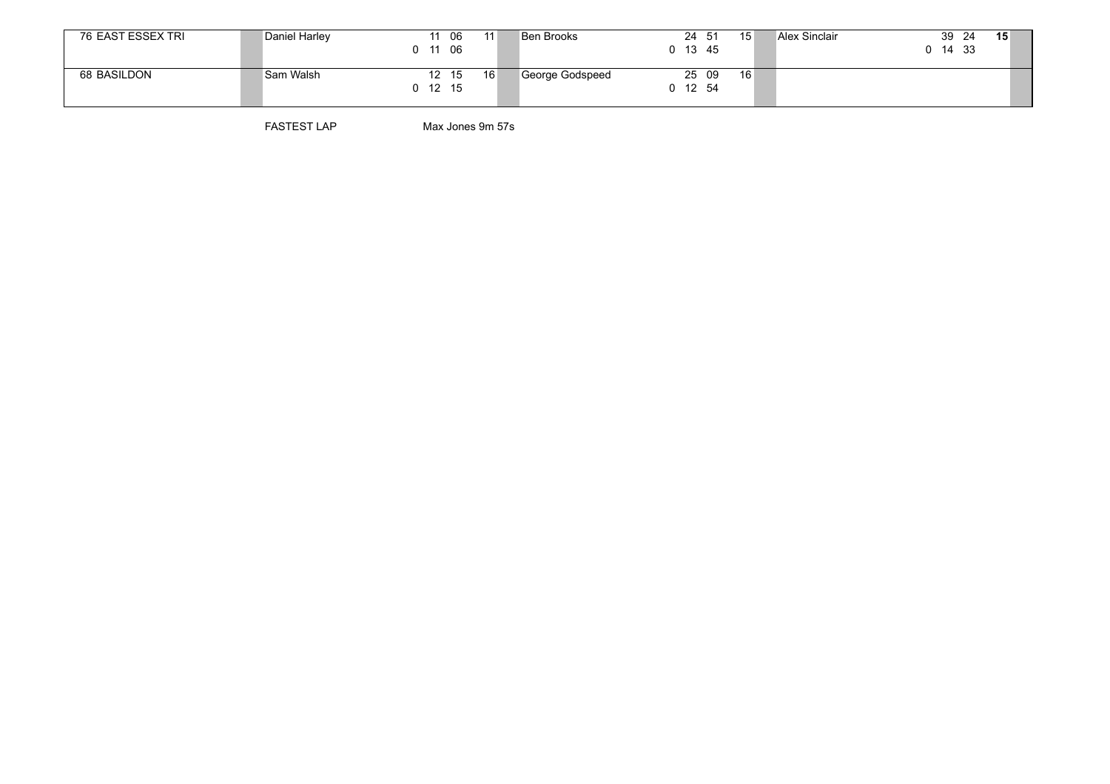| 76 EAST ESSEX TRI | Daniel Harley | 06<br>11<br>- 06<br>- 11      | Ben Brooks      | 24 51<br>$0$ 13 45 | Alex Sinclair<br>15 | 15<br>39<br>- 24<br>14 33 |
|-------------------|---------------|-------------------------------|-----------------|--------------------|---------------------|---------------------------|
| 68 BASILDON       | Sam Walsh     | 16<br>- 15<br>12<br>$0$ 12 15 | George Godspeed | 25 09<br>0 12 54   | 16                  |                           |

FASTEST LAP Max Jones 9m 57s